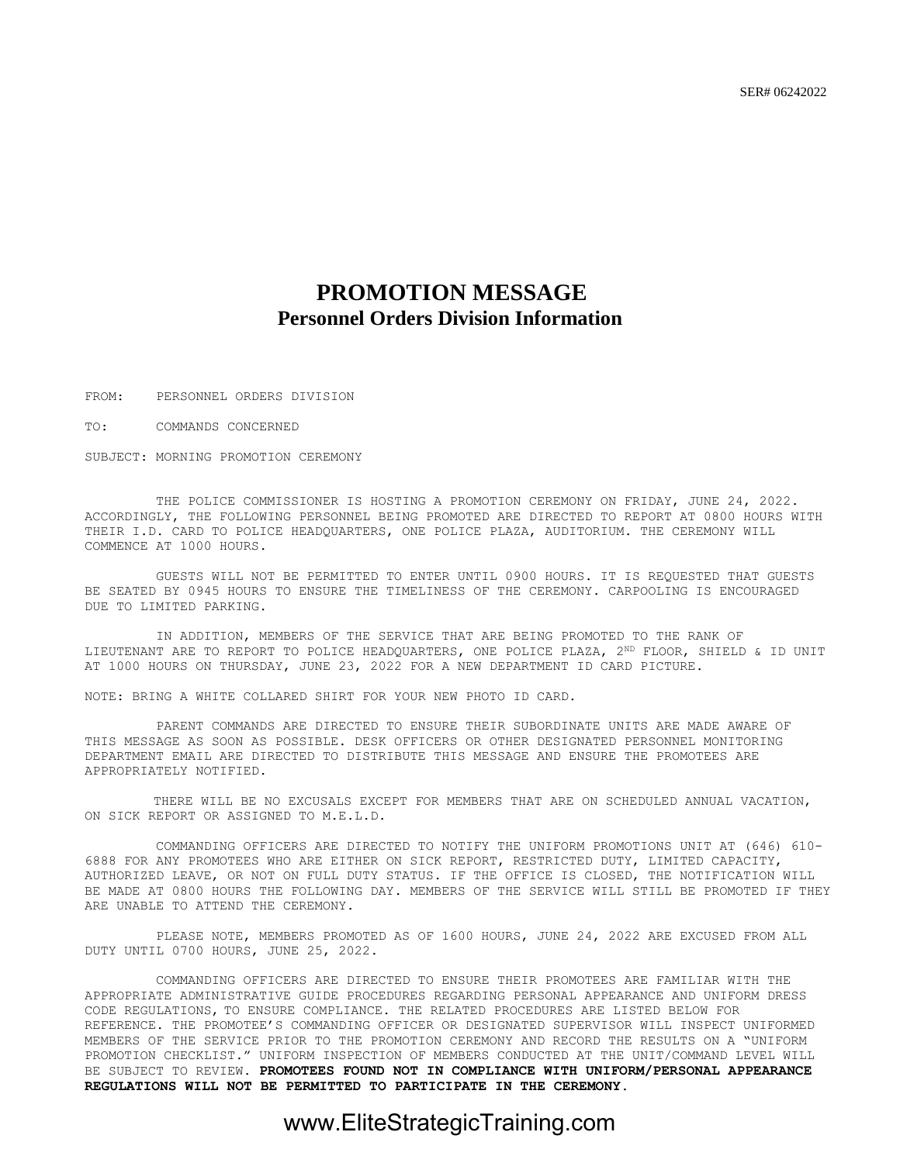### **PROMOTION MESSAGE Personnel Orders Division Information**

FROM: PERSONNEL ORDERS DIVISION

TO: COMMANDS CONCERNED

SUBJECT: MORNING PROMOTION CEREMONY

THE POLICE COMMISSIONER IS HOSTING A PROMOTION CEREMONY ON FRIDAY, JUNE 24, 2022. ACCORDINGLY, THE FOLLOWING PERSONNEL BEING PROMOTED ARE DIRECTED TO REPORT AT 0800 HOURS WITH THEIR I.D. CARD TO POLICE HEADQUARTERS, ONE POLICE PLAZA, AUDITORIUM. THE CEREMONY WILL COMMENCE AT 1000 HOURS.

GUESTS WILL NOT BE PERMITTED TO ENTER UNTIL 0900 HOURS. IT IS REQUESTED THAT GUESTS BE SEATED BY 0945 HOURS TO ENSURE THE TIMELINESS OF THE CEREMONY. CARPOOLING IS ENCOURAGED DUE TO LIMITED PARKING.

IN ADDITION, MEMBERS OF THE SERVICE THAT ARE BEING PROMOTED TO THE RANK OF LIEUTENANT ARE TO REPORT TO POLICE HEADQUARTERS, ONE POLICE PLAZA, 2<sup>ND</sup> FLOOR, SHIELD & ID UNIT AT 1000 HOURS ON THURSDAY, JUNE 23, 2022 FOR A NEW DEPARTMENT ID CARD PICTURE.

NOTE: BRING A WHITE COLLARED SHIRT FOR YOUR NEW PHOTO ID CARD.

PARENT COMMANDS ARE DIRECTED TO ENSURE THEIR SUBORDINATE UNITS ARE MADE AWARE OF THIS MESSAGE AS SOON AS POSSIBLE. DESK OFFICERS OR OTHER DESIGNATED PERSONNEL MONITORING DEPARTMENT EMAIL ARE DIRECTED TO DISTRIBUTE THIS MESSAGE AND ENSURE THE PROMOTEES ARE APPROPRIATELY NOTIFIED.

 THERE WILL BE NO EXCUSALS EXCEPT FOR MEMBERS THAT ARE ON SCHEDULED ANNUAL VACATION, ON SICK REPORT OR ASSIGNED TO M.E.L.D.

COMMANDING OFFICERS ARE DIRECTED TO NOTIFY THE UNIFORM PROMOTIONS UNIT AT (646) 610- 6888 FOR ANY PROMOTEES WHO ARE EITHER ON SICK REPORT, RESTRICTED DUTY, LIMITED CAPACITY, AUTHORIZED LEAVE, OR NOT ON FULL DUTY STATUS. IF THE OFFICE IS CLOSED, THE NOTIFICATION WILL BE MADE AT 0800 HOURS THE FOLLOWING DAY. MEMBERS OF THE SERVICE WILL STILL BE PROMOTED IF THEY ARE UNABLE TO ATTEND THE CEREMONY.

PLEASE NOTE, MEMBERS PROMOTED AS OF 1600 HOURS, JUNE 24, 2022 ARE EXCUSED FROM ALL DUTY UNTIL 0700 HOURS, JUNE 25, 2022.

COMMANDING OFFICERS ARE DIRECTED TO ENSURE THEIR PROMOTEES ARE FAMILIAR WITH THE APPROPRIATE ADMINISTRATIVE GUIDE PROCEDURES REGARDING PERSONAL APPEARANCE AND UNIFORM DRESS CODE REGULATIONS, TO ENSURE COMPLIANCE. THE RELATED PROCEDURES ARE LISTED BELOW FOR REFERENCE. THE PROMOTEE'S COMMANDING OFFICER OR DESIGNATED SUPERVISOR WILL INSPECT UNIFORMED MEMBERS OF THE SERVICE PRIOR TO THE PROMOTION CEREMONY AND RECORD THE RESULTS ON A "UNIFORM PROMOTION CHECKLIST." UNIFORM INSPECTION OF MEMBERS CONDUCTED AT THE UNIT/COMMAND LEVEL WILL BE SUBJECT TO REVIEW. **PROMOTEES FOUND NOT IN COMPLIANCE WITH UNIFORM/PERSONAL APPEARANCE REGULATIONS WILL NOT BE PERMITTED TO PARTICIPATE IN THE CEREMONY.**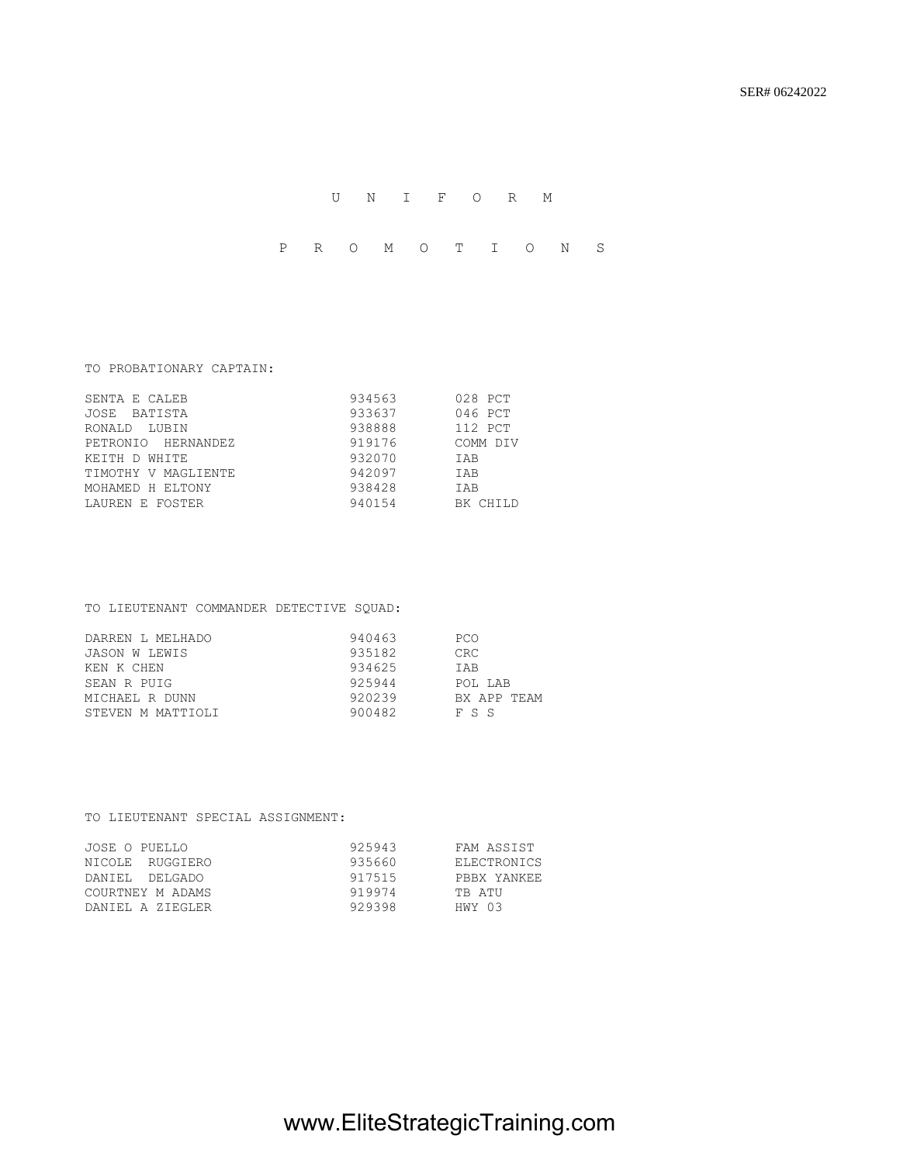### U N I F O R M

P R O M O T I O N S

### TO PROBATIONARY CAPTAIN:

| SENTA E CALEB       | 934563 | 028 PCT    |
|---------------------|--------|------------|
| JOSE BATISTA        | 933637 | 046 PCT    |
| RONALD LUBIN        | 938888 | 112 PCT    |
| PETRONIO HERNANDEZ  | 919176 | COMM DIV   |
| KEITH D WHITE       | 932070 | <b>TAB</b> |
| TIMOTHY V MAGLIENTE | 942097 | <b>TAB</b> |
| MOHAMED H ELTONY    | 938428 | <b>TAB</b> |
| LAUREN E FOSTER     | 940154 | BK CHILD   |

### TO LIEUTENANT COMMANDER DETECTIVE SQUAD:

| DARREN L MELHADO  | 940463 | <b>PCO</b>  |
|-------------------|--------|-------------|
| JASON W LEWIS     | 935182 | <b>CRC</b>  |
| KEN K CHEN        | 934625 | <b>TAB</b>  |
| SEAN R PUIG       | 925944 | POL LAB     |
| MICHAEL R DUNN    | 920239 | BX APP TEAM |
| STEVEN M MATTIOLI | 900482 | F S S       |

#### TO LIEUTENANT SPECIAL ASSIGNMENT:

| JOSE O PUELLO    | 925943 | FAM ASSIST  |
|------------------|--------|-------------|
| NICOLE RUGGIERO  | 935660 | ELECTRONICS |
| DANIEL DELGADO   | 917515 | PRRX YANKEE |
| COURTNEY M ADAMS | 919974 | TR ATU      |
| DANIEL A ZIEGLER | 929398 | HWY 03      |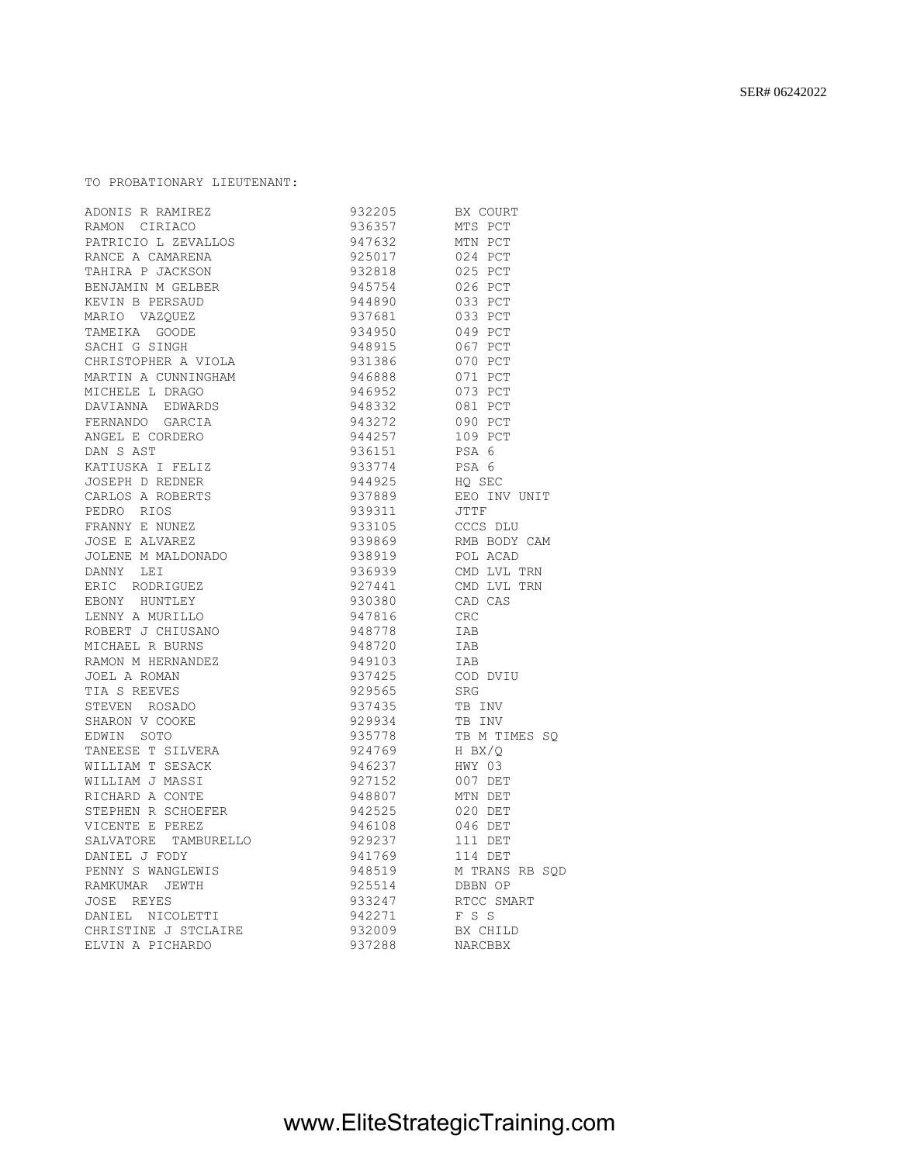| CHRISTOPHER A VIOLA                                                                                                                                                                | 931386 | 070 PCT        |
|------------------------------------------------------------------------------------------------------------------------------------------------------------------------------------|--------|----------------|
| MARTIN A CUNNINGHAM                                                                                                                                                                | 946888 | 071 PCT        |
| MICHELE L DRAGO                                                                                                                                                                    | 946952 | 073 PCT        |
| DAVIANNA EDWARDS                                                                                                                                                                   | 948332 | 081 PCT        |
| FERNANDO GARCIA                                                                                                                                                                    | 943272 | 090 PCT        |
| ANGEL E CORDERO                                                                                                                                                                    | 944257 | 109 PCT        |
| DAN S AST                                                                                                                                                                          | 936151 | PSA 6          |
| KATIUSKA I FELIZ                                                                                                                                                                   | 933774 | PSA 6          |
| JOSEPH D REDNER                                                                                                                                                                    | 944925 | HO SEC         |
| CARLOS A ROBERTS                                                                                                                                                                   | 937889 | EEO INV UNIT   |
| PEDRO RIOS                                                                                                                                                                         | 939311 | JTTF           |
| FRANNY E NUNEZ                                                                                                                                                                     | 933105 | CCCS DLU       |
| JOSE E ALVAREZ                                                                                                                                                                     | 939869 | RMB BODY CAM   |
| JOLENE M MALDONADO                                                                                                                                                                 | 938919 | POL ACAD       |
| DANNY LEI                                                                                                                                                                          | 936939 | CMD LVL TRN    |
| ERIC RODRIGUEZ                                                                                                                                                                     | 927441 | CMD LVL TRN    |
| EBONY HUNTLEY                                                                                                                                                                      | 930380 | CAD CAS        |
| LENNY A MURILLO                                                                                                                                                                    | 947816 | <b>CRC</b>     |
| ROBERT J CHIUSANO                                                                                                                                                                  | 948778 | IAB            |
| NOBERT J CHIUSANO<br>MICHAEL R BURNS<br>RAMON M HERNANDEZ<br>JOEL A ROMAN<br>TIA S REEVES<br>STEVEN ROSADO<br>SHARON V COOKE<br>EDWIN SOTO<br>TANEESE T SILVERA<br>TIITAM R SESACY | 948720 | IAB            |
|                                                                                                                                                                                    | 949103 | IAB            |
|                                                                                                                                                                                    | 937425 | COD DVIU       |
|                                                                                                                                                                                    | 929565 | SRG            |
|                                                                                                                                                                                    | 937435 | TB INV         |
|                                                                                                                                                                                    | 929934 | TB INV         |
|                                                                                                                                                                                    | 935778 | TB M TIMES SO  |
|                                                                                                                                                                                    | 924769 | H BX/O         |
| WILLIAM T SESACK                                                                                                                                                                   | 946237 | HWY 03         |
| WILLIAM J MASSI                                                                                                                                                                    | 927152 | 007 DET        |
| RICHARD A CONTE                                                                                                                                                                    | 948807 | MTN DET        |
| STEPHEN R SCHOEFER                                                                                                                                                                 | 942525 | 020 DET        |
| VICENTE E PEREZ                                                                                                                                                                    | 946108 | 046 DET        |
| SALVATORE TAMBURELLO                                                                                                                                                               | 929237 | 111 DET        |
| DANIEL J FODY                                                                                                                                                                      | 941769 | 114 DET        |
| PENNY S WANGLEWIS                                                                                                                                                                  | 948519 | M TRANS RB SQD |
| RAMKUMAR JEWTH                                                                                                                                                                     | 925514 | DBBN OP        |
| JOSE REYES                                                                                                                                                                         | 933247 | RTCC SMART     |
| DANIEL NICOLETTI                                                                                                                                                                   | 942271 | F S S          |
| CHRISTINE J STCLAIRE                                                                                                                                                               | 932009 | BX CHILD       |
| ELVIN A PICHARDO                                                                                                                                                                   | 937288 | NARCBBX        |

TO PROBATIONARY LIEUTENANT:

TAHIRA P JACKSON

TAMEIKA GOODE<br>SACHI G SINGH

ADONIS R RAMIREZ 932205 BX COURT RAMON CIRIACO 936357 MTS PCT PATRICIO L ZEVALLOS 947632 MTN PCT

RANCE A CAMARENA 925017 024 PCT

BENJAMIN M GELBER 945754 026 PCT KEVIN B PERSAUD 944890 033 PCT MARIO VAZQUEZ 937681 033 PCT

SACHI G SINGH 948915 067 PCT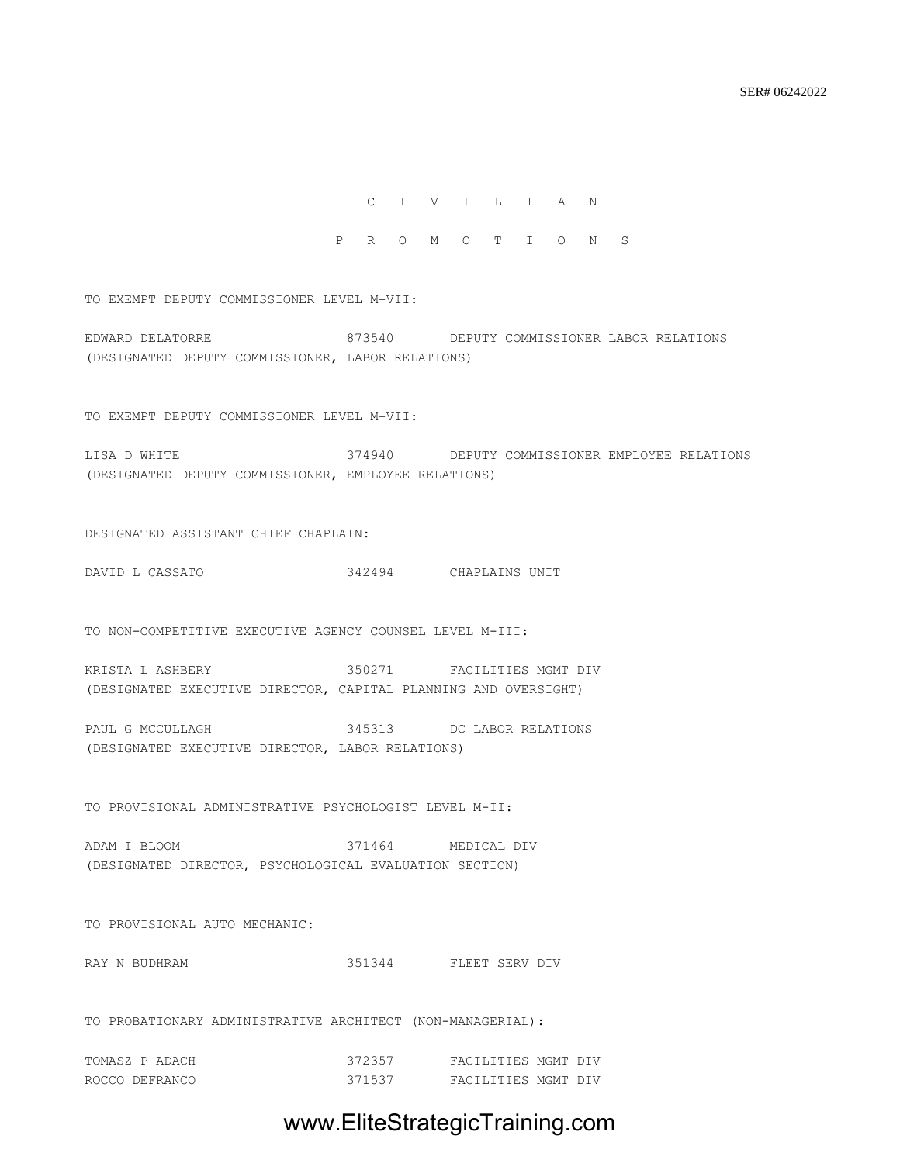C I V I L I A N

P R O M O T I O N S

TO EXEMPT DEPUTY COMMISSIONER LEVEL M-VII:

EDWARD DELATORRE 873540 DEPUTY COMMISSIONER LABOR RELATIONS (DESIGNATED DEPUTY COMMISSIONER, LABOR RELATIONS)

TO EXEMPT DEPUTY COMMISSIONER LEVEL M-VII:

LISA D WHITE 374940 DEPUTY COMMISSIONER EMPLOYEE RELATIONS (DESIGNATED DEPUTY COMMISSIONER, EMPLOYEE RELATIONS)

DESIGNATED ASSISTANT CHIEF CHAPLAIN:

DAVID L CASSATO 342494 CHAPLAINS UNIT

TO NON-COMPETITIVE EXECUTIVE AGENCY COUNSEL LEVEL M-III:

KRISTA L ASHBERY 350271 FACILITIES MGMT DIV (DESIGNATED EXECUTIVE DIRECTOR, CAPITAL PLANNING AND OVERSIGHT)

PAUL G MCCULLAGH 345313 DC LABOR RELATIONS (DESIGNATED EXECUTIVE DIRECTOR, LABOR RELATIONS)

TO PROVISIONAL ADMINISTRATIVE PSYCHOLOGIST LEVEL M-II:

ADAM I BLOOM 371464 MEDICAL DIV (DESIGNATED DIRECTOR, PSYCHOLOGICAL EVALUATION SECTION)

TO PROVISIONAL AUTO MECHANIC:

RAY N BUDHRAM 351344 FLEET SERV DIV

TO PROBATIONARY ADMINISTRATIVE ARCHITECT (NON-MANAGERIAL):

| TOMASZ P ADACH | 372357 | FACILITIES MGMT DIV |  |
|----------------|--------|---------------------|--|
| ROCCO DEFRANCO | 371537 | FACILITIES MGMT DIV |  |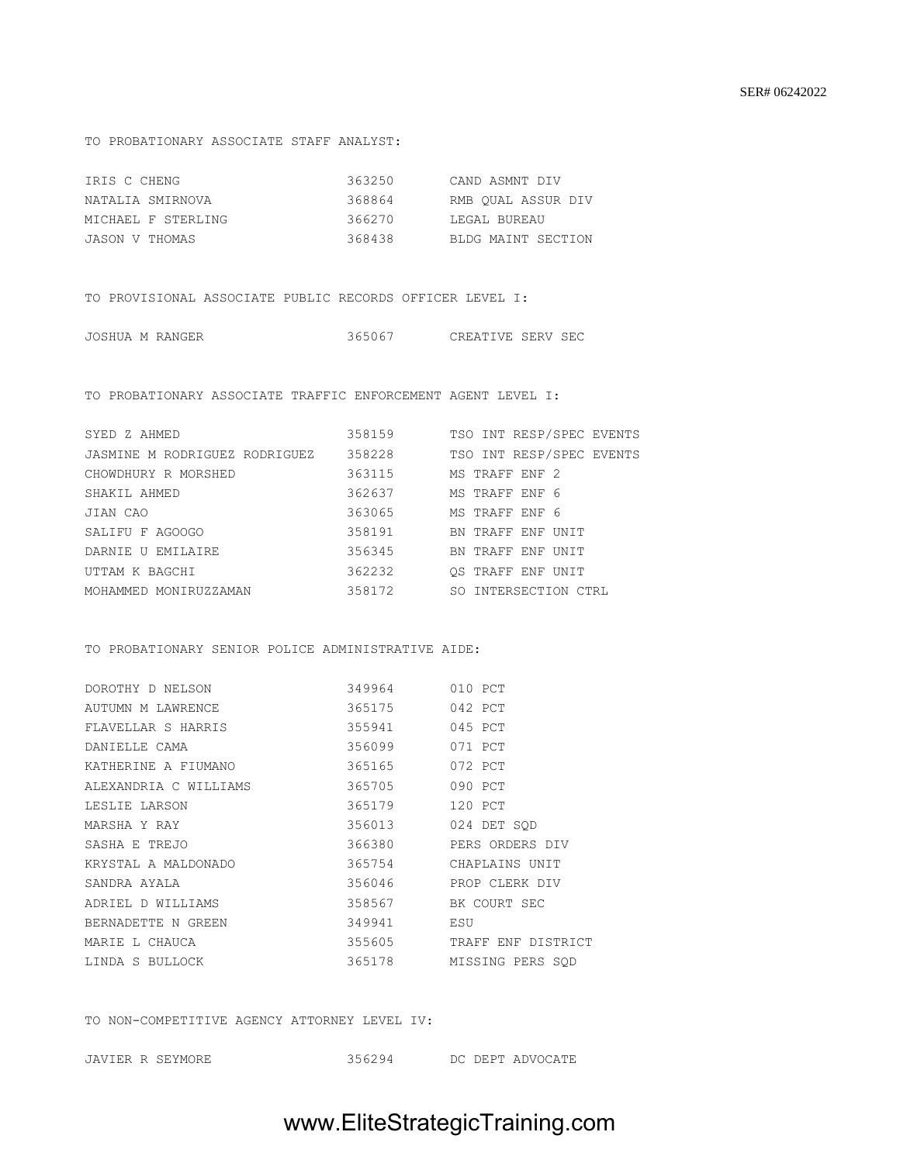#### TO PROBATIONARY ASSOCIATE STAFF ANALYST:

| IRIS C CHENG       | 363250 | CAND ASMNT DIV     |
|--------------------|--------|--------------------|
| NATALIA SMIRNOVA   | 368864 | RMB OUAL ASSUR DIV |
| MICHAEL F STERLING | 366270 | LEGAL BUREAU       |
| JASON V THOMAS     | 368438 | BLDG MAINT SECTION |

TO PROVISIONAL ASSOCIATE PUBLIC RECORDS OFFICER LEVEL I:

| CREATIVE SERV SEC | JOSHUA M RANGER | 365067 |  |  |  |
|-------------------|-----------------|--------|--|--|--|
|-------------------|-----------------|--------|--|--|--|

TO PROBATIONARY ASSOCIATE TRAFFIC ENFORCEMENT AGENT LEVEL I:

| SYED Z AHMED                  | 358159 | TSO INT RESP/SPEC EVENTS |
|-------------------------------|--------|--------------------------|
| JASMINE M RODRIGUEZ RODRIGUEZ | 358228 | TSO INT RESP/SPEC EVENTS |
| CHOWDHURY R MORSHED           | 363115 | MS TRAFF ENF 2           |
| SHAKIL AHMED                  | 362637 | MS TRAFF ENF 6           |
| JIAN CAO                      | 363065 | MS TRAFF ENF 6           |
| SALIFU F AGOOGO               | 358191 | BN TRAFF ENF UNIT        |
| DARNIE U EMILAIRE             | 356345 | BN TRAFF ENF UNIT        |
| UTTAM K BAGCHI                | 362232 | OS TRAFF ENF UNIT        |
| MOHAMMED MONIRUZZAMAN         | 358172 | SO INTERSECTION CTRL     |
|                               |        |                          |

#### TO PROBATIONARY SENIOR POLICE ADMINISTRATIVE AIDE:

| DOROTHY D NELSON                    | 349964 | 010 PCT            |
|-------------------------------------|--------|--------------------|
| 365175 042 PCT<br>AUTUMN M LAWRENCE |        |                    |
| FLAVELLAR S HARRIS                  | 355941 | 045 PCT            |
| 356099<br>DANIELLE CAMA             |        | 071 PCT            |
| KATHERINE A FIUMANO                 | 365165 | 072 PCT            |
| ALEXANDRIA C WILLIAMS 365705        |        | 090 PCT            |
| LESLIE LARSON                       | 365179 | 120 PCT            |
| MARSHA Y RAY                        | 356013 | 024 DET SOD        |
| SASHA E TREJO                       | 366380 | PERS ORDERS DIV    |
| KRYSTAL A MALDONADO 6 365754        |        | CHAPLAINS UNIT     |
| SANDRA AYALA                        | 356046 | PROP CLERK DIV     |
| ADRIEL D WILLIAMS                   | 358567 | BK COURT SEC       |
| BERNADETTE N GREEN                  | 349941 | ESU                |
| 355605<br>MARIE L CHAUCA            |        | TRAFF ENF DISTRICT |
| LINDA S BULLOCK                     | 365178 | MISSING PERS SOD   |
|                                     |        |                    |

TO NON-COMPETITIVE AGENCY ATTORNEY LEVEL IV:

| JAVIER R SEYMORE | 356294 |  |  | DC DEPT ADVOCATE |
|------------------|--------|--|--|------------------|
|------------------|--------|--|--|------------------|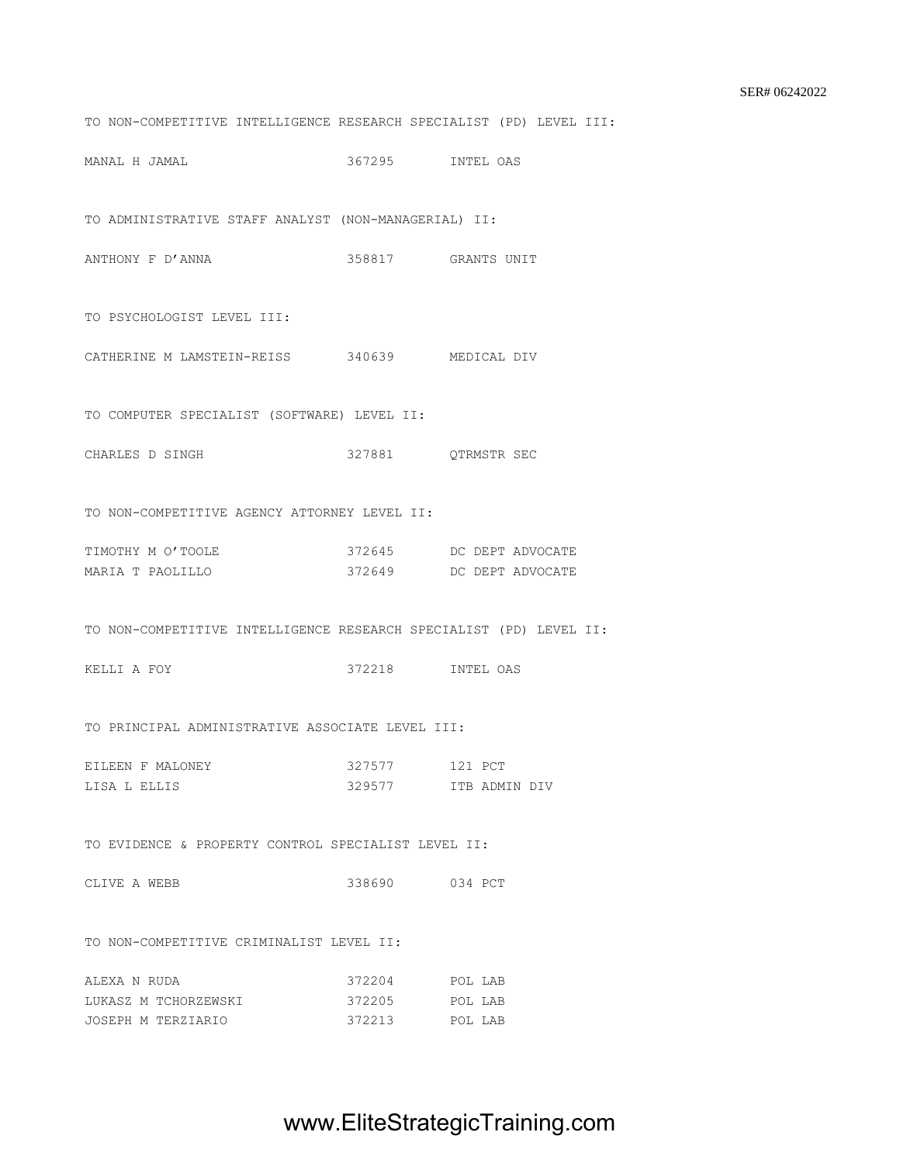TO NON-COMPETITIVE INTELLIGENCE RESEARCH SPECIALIST (PD) LEVEL III:

MANAL H JAMAL 367295 INTEL OAS

TO ADMINISTRATIVE STAFF ANALYST (NON-MANAGERIAL) II:

ANTHONY F D'ANNA 158817 GRANTS UNIT

TO PSYCHOLOGIST LEVEL III:

CATHERINE M LAMSTEIN-REISS 340639 MEDICAL DIV

TO COMPUTER SPECIALIST (SOFTWARE) LEVEL II:

CHARLES D SINGH 327881 QTRMSTR SEC

TO NON-COMPETITIVE AGENCY ATTORNEY LEVEL II:

| TIMOTHY M O'TOOLE | 372645 |  | DC DEPT ADVOCATE |
|-------------------|--------|--|------------------|
| MARIA T PAOLILLO  | 372649 |  | DC DEPT ADVOCATE |

TO NON-COMPETITIVE INTELLIGENCE RESEARCH SPECIALIST (PD) LEVEL II:

KELLI A FOY 372218 INTEL OAS

TO PRINCIPAL ADMINISTRATIVE ASSOCIATE LEVEL III:

|  | EILEEN F MALONEY | 327577 | 121 PCT |               |  |
|--|------------------|--------|---------|---------------|--|
|  | LISA L ELLIS     | 329577 |         | TTR ADMIN DIV |  |

TO EVIDENCE & PROPERTY CONTROL SPECIALIST LEVEL II:

CLIVE A WEBB 338690 034 PCT

TO NON-COMPETITIVE CRIMINALIST LEVEL II:

| ALEXA N RUDA         | 372204 | POL LAB |  |
|----------------------|--------|---------|--|
| LUKASZ M TCHORZEWSKI | 372205 | POL LAB |  |
| JOSEPH M TERZIARIO   | 372213 | POL LAB |  |